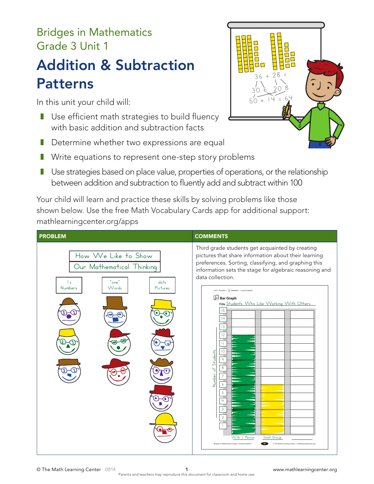# Bridges in Mathematics Grade 3 Unit 1

## Addition & Subtraction **Patterns** *will be a tool that will help you learn. So, please take care of your*  Unit 1 Module 1 **Session 2**

In this unit your child will: *and I can go back and nd your work easily.*

- $\blacksquare$  Use efficient math strategies to build fluency with basic addition and subtraction facts
	- **Ask Determine whether two expressions are equal**
	- Write equations to represent one-step story problems
	- Use strategies based on place value, properties of operations, or the relationship between addition and subtraction to fluently add and subtract within 100  $\overline{P}$  ,  $\overline{P}$  and  $\overline{P}$  are thus thus does not a bar graph.

Your child will learn and practice these skills by solving problems like those shown below. Use the free Math Vocabulary Cards app for additional support: mathlearningcenter.org/apps  $\cdots$ • Give a thumbs up if know what a bar graph is. ary Cards app for additional support.



 $\Box$  Comparison  $\Box$ I dock are 5 more studier to the second than the second than the second term in the second term in the second term in the second term in<br>In provincia the second term in the second term in the second term in the second term in the second term in th d har i <del>en ho</del> Glyph Comparison Statement There are 5 more students who like to show the show that is not the show that is not the show that is not the show that is not the show that is no 36 + 28 = 30 6 20 8  $50 + 14 = 64$